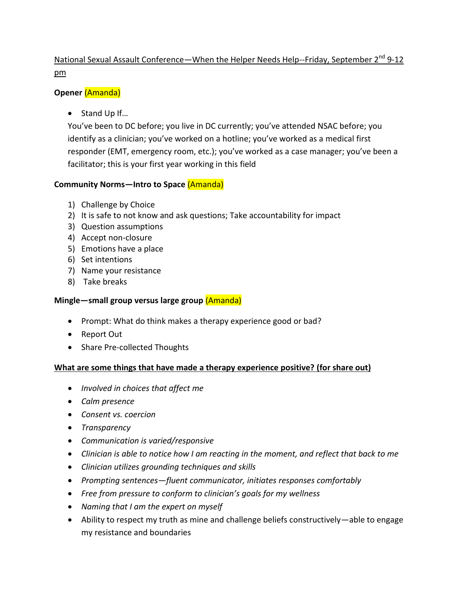# National Sexual Assault Conference—When the Helper Needs Help--Friday, September 2<sup>nd</sup> 9-12 pm

## **Opener** (Amanda)

● Stand Up If...

You've been to DC before; you live in DC currently; you've attended NSAC before; you identify as a clinician; you've worked on a hotline; you've worked as a medical first responder (EMT, emergency room, etc.); you've worked as a case manager; you've been a facilitator; this is your first year working in this field

## **Community Norms—Intro to Space** (Amanda)

- 1) Challenge by Choice
- 2) It is safe to not know and ask questions; Take accountability for impact
- 3) Question assumptions
- 4) Accept non-closure
- 5) Emotions have a place
- 6) Set intentions
- 7) Name your resistance
- 8) Take breaks

# **Mingle—small group versus large group** (Amanda)

- Prompt: What do think makes a therapy experience good or bad?
- Report Out
- Share Pre-collected Thoughts

## **What are some things that have made a therapy experience positive? (for share out)**

- *Involved in choices that affect me*
- *Calm presence*
- *Consent vs. coercion*
- *Transparency*
- *Communication is varied/responsive*
- *Clinician is able to notice how I am reacting in the moment, and reflect that back to me*
- *Clinician utilizes grounding techniques and skills*
- *Prompting sentences—fluent communicator, initiates responses comfortably*
- *Free from pressure to conform to clinician's goals for my wellness*
- *Naming that I am the expert on myself*
- Ability to respect my truth as mine and challenge beliefs constructively—able to engage my resistance and boundaries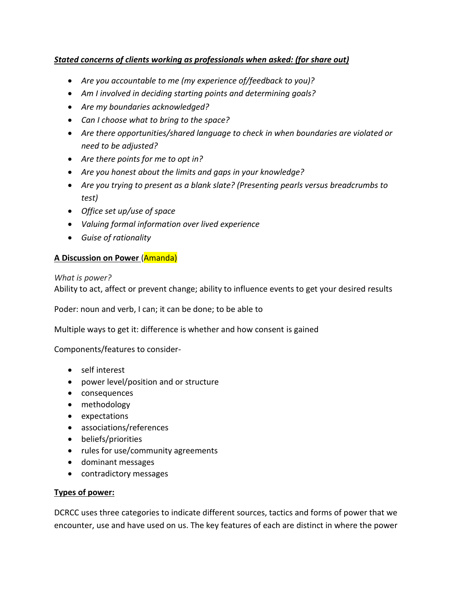## *Stated concerns of clients working as professionals when asked: (for share out)*

- *Are you accountable to me (my experience of/feedback to you)?*
- *Am I involved in deciding starting points and determining goals?*
- *Are my boundaries acknowledged?*
- *Can I choose what to bring to the space?*
- *Are there opportunities/shared language to check in when boundaries are violated or need to be adjusted?*
- *Are there points for me to opt in?*
- *Are you honest about the limits and gaps in your knowledge?*
- *Are you trying to present as a blank slate? (Presenting pearls versus breadcrumbs to test)*
- *Office set up/use of space*
- *Valuing formal information over lived experience*
- *Guise of rationality*

## **A Discussion on Power** (Amanda)

#### *What is power?*

Ability to act, affect or prevent change; ability to influence events to get your desired results

Poder: noun and verb, I can; it can be done; to be able to

Multiple ways to get it: difference is whether and how consent is gained

Components/features to consider-

- self interest
- power level/position and or structure
- consequences
- methodology
- expectations
- associations/references
- beliefs/priorities
- rules for use/community agreements
- dominant messages
- contradictory messages

#### **Types of power:**

DCRCC uses three categories to indicate different sources, tactics and forms of power that we encounter, use and have used on us. The key features of each are distinct in where the power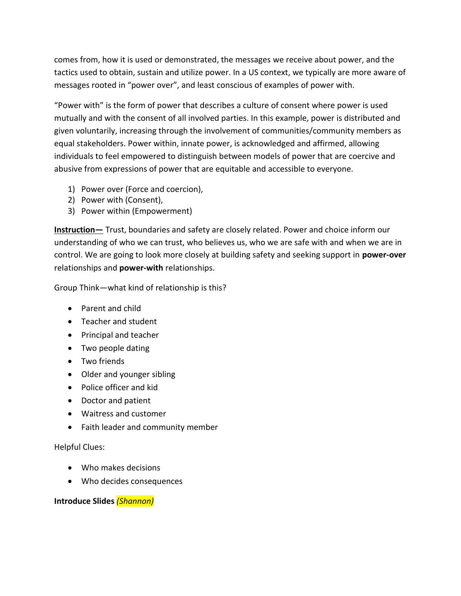comes from, how it is used or demonstrated, the messages we receive about power, and the tactics used to obtain, sustain and utilize power. In a US context, we typically are more aware of messages rooted in "power over", and least conscious of examples of power with.

"Power with" is the form of power that describes a culture of consent where power is used mutually and with the consent of all involved parties. In this example, power is distributed and given voluntarily, increasing through the involvement of communities/community members as equal stakeholders. Power within, innate power, is acknowledged and affirmed, allowing individuals to feel empowered to distinguish between models of power that are coercive and abusive from expressions of power that are equitable and accessible to everyone.

- 1) Power over (Force and coercion),
- 2) Power with (Consent),
- 3) Power within (Empowerment)

**Instruction**— Trust, boundaries and safety are closely related. Power and choice inform our understanding of who we can trust, who believes us, who we are safe with and when we are in control. We are going to look more closely at building safety and seeking support in **power-over** relationships and **power-with** relationships.

Group Think—what kind of relationship is this?

- Parent and child
- Teacher and student
- Principal and teacher
- Two people dating
- Two friends
- Older and younger sibling
- Police officer and kid
- Doctor and patient
- Waitress and customer
- Faith leader and community member

## Helpful Clues:

- Who makes decisions
- Who decides consequences

## **Introduce Slides** *(Shannon)*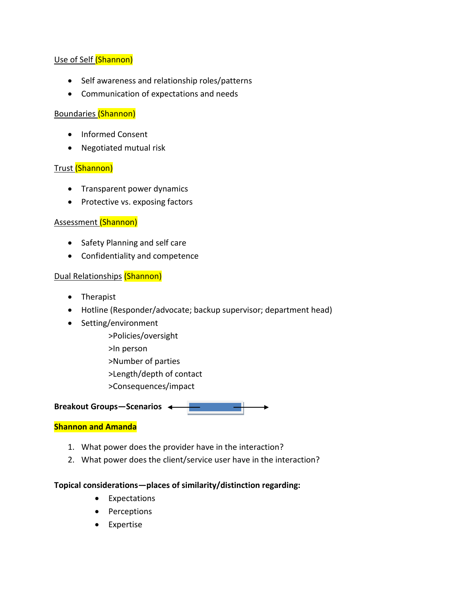## Use of Self (Shannon)

- Self awareness and relationship roles/patterns
- Communication of expectations and needs

### Boundaries (Shannon)

- Informed Consent
- Negotiated mutual risk

#### Trust (Shannon)

- Transparent power dynamics
- Protective vs. exposing factors

## Assessment (Shannon)

- Safety Planning and self care
- Confidentiality and competence

#### Dual Relationships (Shannon)

- Therapist
- Hotline (Responder/advocate; backup supervisor; department head)
- Setting/environment
	- >Policies/oversight
	- >In person
	- >Number of parties
	- >Length/depth of contact
	- >Consequences/impact

#### **Breakout Groups—Scenarios**

#### **Shannon and Amanda**

- 1. What power does the provider have in the interaction?
- 2. What power does the client/service user have in the interaction?

#### **Topical considerations—places of similarity/distinction regarding:**

- Expectations
- Perceptions
- Expertise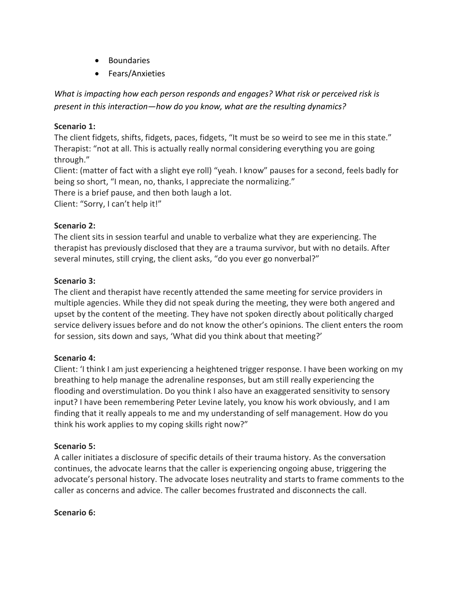- Boundaries
- Fears/Anxieties

*What is impacting how each person responds and engages? What risk or perceived risk is present in this interaction—how do you know, what are the resulting dynamics?*

### **Scenario 1:**

The client fidgets, shifts, fidgets, paces, fidgets, "It must be so weird to see me in this state." Therapist: "not at all. This is actually really normal considering everything you are going through."

Client: (matter of fact with a slight eye roll) "yeah. I know" pauses for a second, feels badly for being so short, "I mean, no, thanks, I appreciate the normalizing."

There is a brief pause, and then both laugh a lot.

Client: "Sorry, I can't help it!"

#### **Scenario 2:**

The client sits in session tearful and unable to verbalize what they are experiencing. The therapist has previously disclosed that they are a trauma survivor, but with no details. After several minutes, still crying, the client asks, "do you ever go nonverbal?"

#### **Scenario 3:**

The client and therapist have recently attended the same meeting for service providers in multiple agencies. While they did not speak during the meeting, they were both angered and upset by the content of the meeting. They have not spoken directly about politically charged service delivery issues before and do not know the other's opinions. The client enters the room for session, sits down and says, 'What did you think about that meeting?'

## **Scenario 4:**

Client: 'I think I am just experiencing a heightened trigger response. I have been working on my breathing to help manage the adrenaline responses, but am still really experiencing the flooding and overstimulation. Do you think I also have an exaggerated sensitivity to sensory input? I have been remembering Peter Levine lately, you know his work obviously, and I am finding that it really appeals to me and my understanding of self management. How do you think his work applies to my coping skills right now?"

## **Scenario 5:**

A caller initiates a disclosure of specific details of their trauma history. As the conversation continues, the advocate learns that the caller is experiencing ongoing abuse, triggering the advocate's personal history. The advocate loses neutrality and starts to frame comments to the caller as concerns and advice. The caller becomes frustrated and disconnects the call.

#### **Scenario 6:**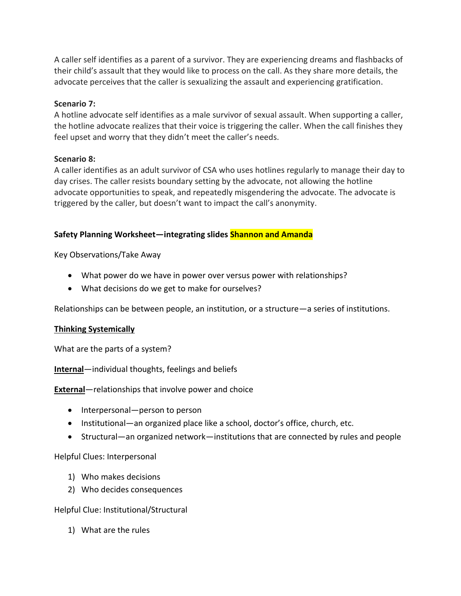A caller self identifies as a parent of a survivor. They are experiencing dreams and flashbacks of their child's assault that they would like to process on the call. As they share more details, the advocate perceives that the caller is sexualizing the assault and experiencing gratification.

#### **Scenario 7:**

A hotline advocate self identifies as a male survivor of sexual assault. When supporting a caller, the hotline advocate realizes that their voice is triggering the caller. When the call finishes they feel upset and worry that they didn't meet the caller's needs.

#### **Scenario 8:**

A caller identifies as an adult survivor of CSA who uses hotlines regularly to manage their day to day crises. The caller resists boundary setting by the advocate, not allowing the hotline advocate opportunities to speak, and repeatedly misgendering the advocate. The advocate is triggered by the caller, but doesn't want to impact the call's anonymity.

#### **Safety Planning Worksheet—integrating slides Shannon and Amanda**

#### Key Observations/Take Away

- What power do we have in power over versus power with relationships?
- What decisions do we get to make for ourselves?

Relationships can be between people, an institution, or a structure—a series of institutions.

## **Thinking Systemically**

What are the parts of a system?

**Internal**—individual thoughts, feelings and beliefs

**External**—relationships that involve power and choice

- Interpersonal—person to person
- Institutional—an organized place like a school, doctor's office, church, etc.
- Structural—an organized network—institutions that are connected by rules and people

## Helpful Clues: Interpersonal

- 1) Who makes decisions
- 2) Who decides consequences

#### Helpful Clue: Institutional/Structural

1) What are the rules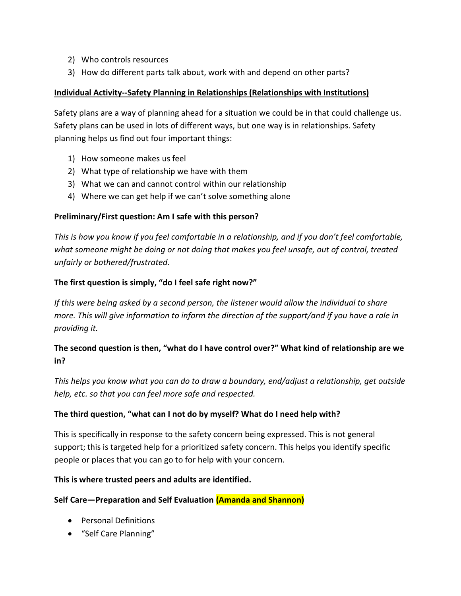- 2) Who controls resources
- 3) How do different parts talk about, work with and depend on other parts?

## **Individual Activity--Safety Planning in Relationships (Relationships with Institutions)**

Safety plans are a way of planning ahead for a situation we could be in that could challenge us. Safety plans can be used in lots of different ways, but one way is in relationships. Safety planning helps us find out four important things:

- 1) How someone makes us feel
- 2) What type of relationship we have with them
- 3) What we can and cannot control within our relationship
- 4) Where we can get help if we can't solve something alone

## **Preliminary/First question: Am I safe with this person?**

*This is how you know if you feel comfortable in a relationship, and if you don't feel comfortable, what someone might be doing or not doing that makes you feel unsafe, out of control, treated unfairly or bothered/frustrated.*

## **The first question is simply, "do I feel safe right now?"**

*If this were being asked by a second person, the listener would allow the individual to share more. This will give information to inform the direction of the support/and if you have a role in providing it.*

# **The second question is then, "what do I have control over?" What kind of relationship are we in?**

*This helps you know what you can do to draw a boundary, end/adjust a relationship, get outside help, etc. so that you can feel more safe and respected.*

## **The third question, "what can I not do by myself? What do I need help with?**

This is specifically in response to the safety concern being expressed. This is not general support; this is targeted help for a prioritized safety concern. This helps you identify specific people or places that you can go to for help with your concern.

## **This is where trusted peers and adults are identified.**

## **Self Care—Preparation and Self Evaluation (Amanda and Shannon)**

- Personal Definitions
- "Self Care Planning"